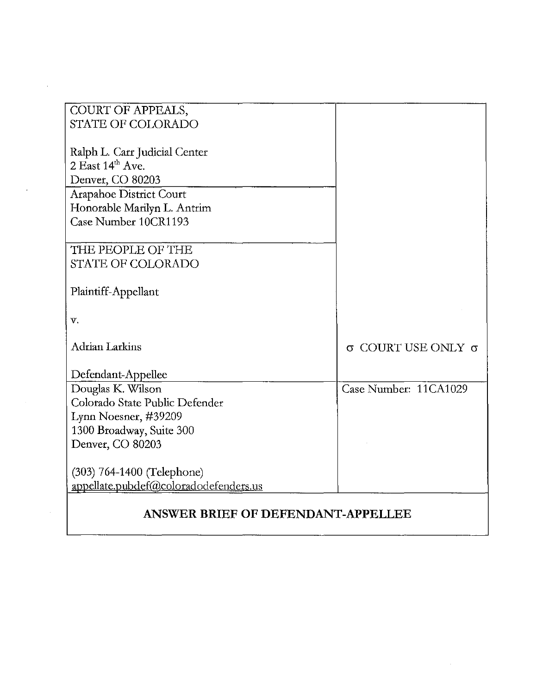| COURT OF APPEALS,                     |                         |
|---------------------------------------|-------------------------|
| <b>STATE OF COLORADO</b>              |                         |
|                                       |                         |
| Ralph L. Carr Judicial Center         |                         |
| $2$ East $14^{\text{th}}$ Ave.        |                         |
| Denver, CO 80203                      |                         |
| Arapahoe District Court               |                         |
| Honorable Marilyn L. Antrim           |                         |
| Case Number 10CR1193                  |                         |
|                                       |                         |
| THE PEOPLE OF THE                     |                         |
| <b>STATE OF COLORADO</b>              |                         |
|                                       |                         |
| Plaintiff-Appellant                   |                         |
|                                       |                         |
| v.                                    |                         |
|                                       |                         |
| <b>Adrian Larkins</b>                 | COURT USE ONLY $\sigma$ |
|                                       |                         |
| Defendant-Appellee                    |                         |
| Douglas K. Wilson                     | Case Number: 11CA1029   |
| Colorado State Public Defender        |                         |
| Lynn Noesner, #39209                  |                         |
| 1300 Broadway, Suite 300              |                         |
| Denver, CO 80203                      |                         |
|                                       |                         |
| (303) 764-1400 (Telephone)            |                         |
| appellate.pubdef@coloradodefenders.us |                         |
|                                       |                         |
| ANSWER BRIEF OF DEFENDANT-APPELLEE    |                         |

 $\mathcal{A}$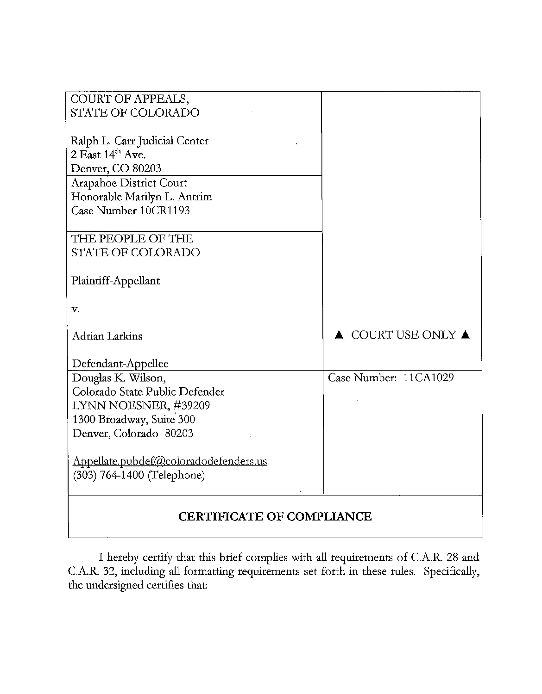| COURT OF APPEALS,                     |                                 |
|---------------------------------------|---------------------------------|
| <b>STATE OF COLORADO</b>              |                                 |
|                                       |                                 |
| Ralph L. Carr Judicial Center         |                                 |
| $2$ East $14th$ Ave.                  |                                 |
| Denver, CO 80203                      |                                 |
| Arapahoe District Court               |                                 |
| Honorable Marilyn L. Antrim           |                                 |
| Case Number 10CR1193                  |                                 |
|                                       |                                 |
| THE PEOPLE OF THE                     |                                 |
| <b>STATE OF COLORADO</b>              |                                 |
| Plaintiff-Appellant                   |                                 |
|                                       |                                 |
| v.                                    |                                 |
|                                       |                                 |
| Adrian Larkins                        | COURT USE ONLY $\blacktriangle$ |
|                                       |                                 |
| Defendant-Appellee                    |                                 |
| Douglas K. Wilson,                    | Case Number: 11CA1029           |
| Colorado State Public Defender        |                                 |
| LYNN NOESNER, #39209                  |                                 |
| 1300 Broadway, Suite 300              |                                 |
| Denver, Colorado 80203                |                                 |
|                                       |                                 |
| Appellate.pubdef@coloradodefenders.us |                                 |
| (303) 764-1400 (Telephone)            |                                 |
|                                       |                                 |
| <b>CERTIFICATE OF COMPLIANCE</b>      |                                 |

I hereby certify that this brief complies with all requirements of CA.R. 28 and CA.R. 32, including all formatting requirements set forth in these rules. Specifically, the undersigned certifies that: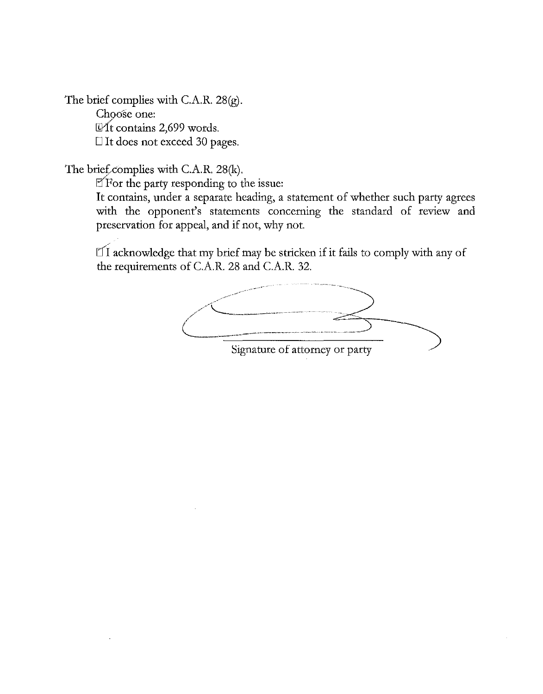The brief complies with C.A.R. 28(g). Choose one:  $\mathbb{Q}$ It contains 2,699 words. □ It does not exceed 30 pages.

The brief<sub>complies</sub> with C.A.R. 28(k).

 $E$ For the party responding to the issue:

**It** contains, under a separate heading, a statement of whether such party agrees with the opponent's statements concerning the standard of review and preservation for appeal, and if not, why not.

 $\mathbb{Z}$  acknowledge that my brief may be stricken if it fails to comply with any of the requirements of CA.R. 28 and C.A.R. 32.

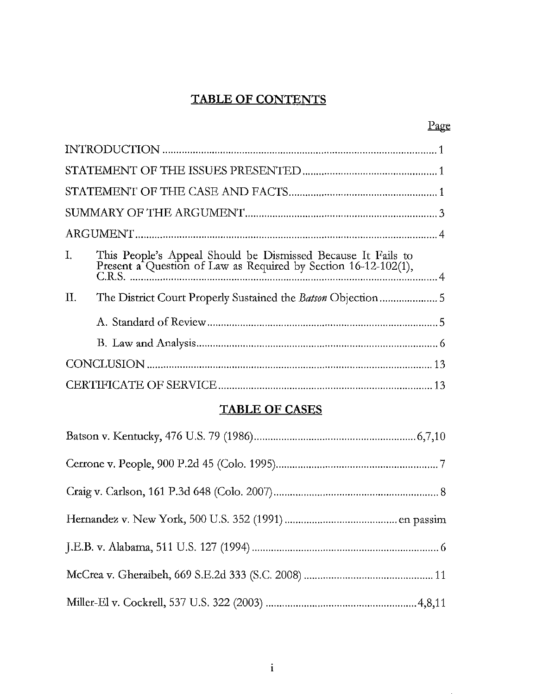# **TABLE OF CONTENTS**

|                                                                                                                                   | l'age |
|-----------------------------------------------------------------------------------------------------------------------------------|-------|
|                                                                                                                                   |       |
|                                                                                                                                   |       |
|                                                                                                                                   |       |
|                                                                                                                                   |       |
|                                                                                                                                   |       |
| This People's Appeal Should be Dismissed Because It Fails to Present a Question of Law as Required by Section 16-12-102(1),<br>Ι. |       |
| H.                                                                                                                                |       |
|                                                                                                                                   |       |
|                                                                                                                                   |       |
|                                                                                                                                   |       |
|                                                                                                                                   |       |

# **TABLE OF CASES**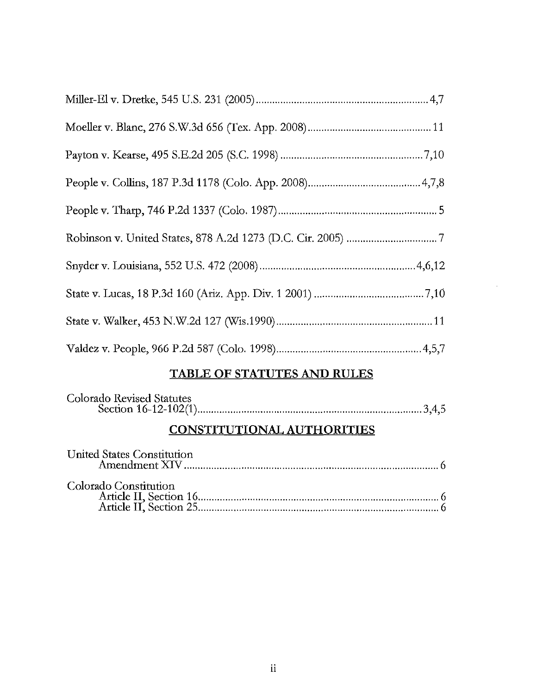# **TABLE OF STATUTES AND RULES**

| Colorado Revised Statutes |  |
|---------------------------|--|
|                           |  |

# **CONSTITUTIONAL AUTHORITIES**

| United States Constitution |  |
|----------------------------|--|
| Colorado Constitution      |  |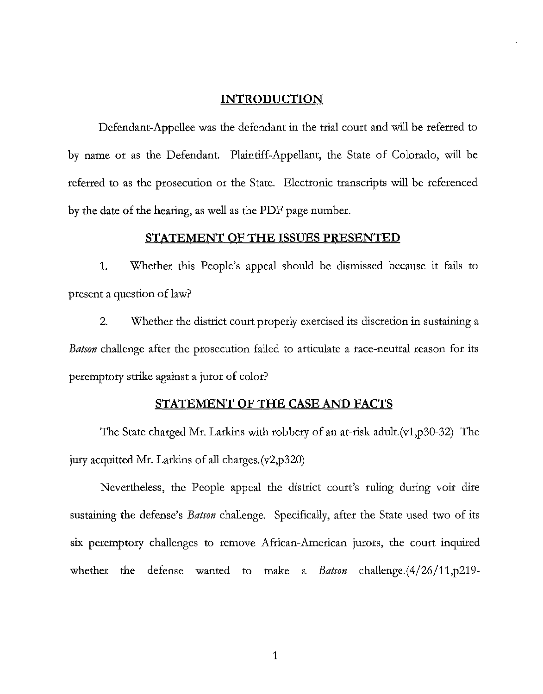#### **INTRODUCTION**

Defendant-Appellee was the defendant in the trial court and will be referred to by name or as the Defendant. Plaintiff-Appellant, the State of Colorado, will be referred to as the prosecution or the State. Electronic transcripts will be referenced by the date of the hearing, as well as the PDF page number.

#### **STATEMENT OF THE ISSUES PRESENTED**

1. Whether this People's appeal should be dismissed because it fails to present a question of law?

2. Whether the district court properly exercised its discretion in sustaining a *Batson* challenge after the prosecution failed to articulate a race-neutral reason for its peremptory strike against a juror of color?

#### **STATEMENT OF THE CASE AND FACTS**

The State charged Mr. Larkins with robbery of an at-risk adult. $(v1,p30-32)$  The jury acquitted Mr. Larkins of all charges.(v2,p320)

Nevertheless, the People appeal the district court's ruling during voir dire sustaining the defense's *Batson* challenge. Specifically, after the State used two of its six peremptory challenges to remove African-American jurors, the court inquired whether the defense wanted to make a *Batson* challenge.(4/26/11,p219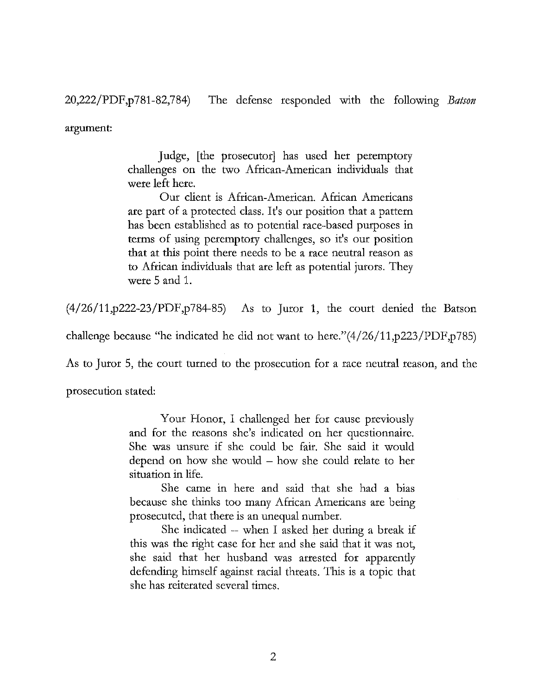20,222/PDF,p781-82,784) The defense responded with the following *Batson* 

argument:

Judge, [the prosecutor] has used her peremptory challenges on the two African-American individuals that were left here.

Our client is African-American. African Americans are part of a protected class. It's our position that a pattern has been established as to potential race-based purposes in terms of using peremptory challenges, so it's our position that at this point there needs to be a race neutral reason as to African individuals that are left as potential jurors. They were 5 and 1.

(4/26/11,p222-23/PDF,p784-85) As to Juror 1, the court denied the Batson

challenge because "he indicated he did not want to here."(4/26/11,p223/PDF,p785)

As to Juror 5, the court turned to the prosecution for a race neutral reason, and the

prosecution stated:

Your Honor, I challenged her for cause previously and for the reasons she's indicated on her questionnaire. She was unsure if she could be fair. She said it would depend on how she would  $-$  how she could relate to her situation in life.

She came in here and said that she had a bias because she thinks too many African Americans are being prosecuted, that there is an unequal number.

She indicated -- when I asked her during a break **if**  this was the right case for her and she said that it was not, she said that her husband was arrested for apparently defending himself against racial threats. This is a topic that she has reiterated several times.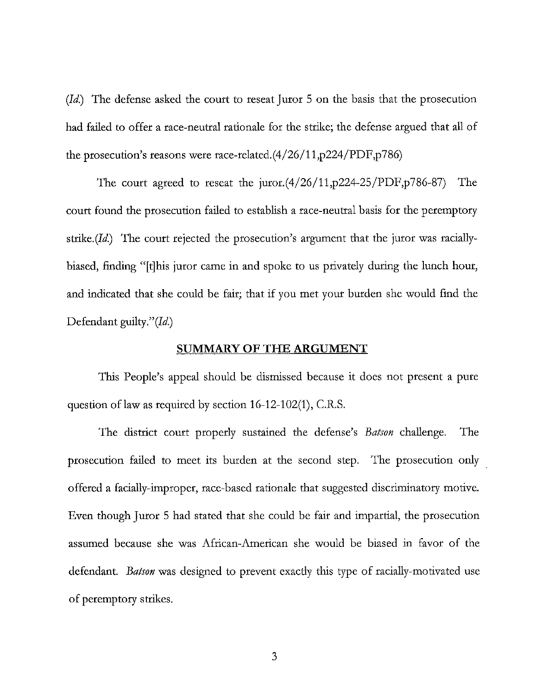(Id.) The defense asked the court to reseat Juror 5 on the basis that the prosecution had failed to offer a race-neutral rationale for the strike; the defense argued that all of the prosecution's reasons were race-related.(4/26/11,p224/PDF,p786)

The court agreed to reseat the juror. $(4/26/11,p224-25/PDF,p786-87)$  The court found the prosecution failed to establish a race-neutral basis for the peremptory strike. $(Id)$  The court rejected the prosecution's argument that the juror was raciallybiased, finding "[tJhis juror came in and spoke to us privately during the lunch hour, and indicated that she could be fair; that if you met your burden she would find the Defendant guilty."(Id.)

#### **SUMMARY OF THE ARGUMENT**

This People's appeal should be dismissed because it does not present a pure question of law as required by section  $16-12-102(1)$ , C.R.S.

The district court properly sustained the defense's *Batson* challenge. The prosecution failed to meet its burden at the second step. The prosecution only offered a facially-improper, race-based rationale that suggested discriminatory motive. Even though Juror 5 had stated that she could be fair and impartial, the prosecution assumed because she was African-American she would be biased in favor of the defendant. *Batson* was designed to prevent exactly this type of racially-motivated use of peremptory strikes.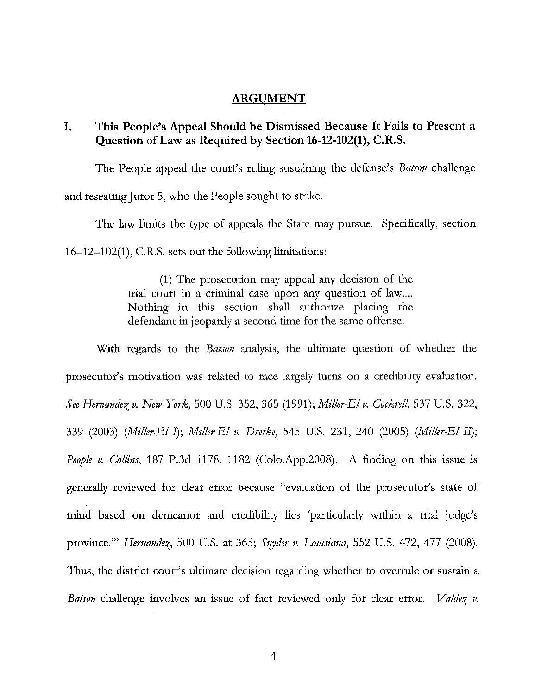#### ARGUMENT

## I. This People's Appeal Should be Dismissed Because It Fails to Present a Question of Law as Required by Section 16-12-102(1), C.R.S.

The People appeal the court's ruling sustaining the defense's *Batson* challenge and reseating Juror 5, who the People sought to strike.

The law limits the type of appeals the State may pursue. Specifically, section 16-12-102(1), CR.S. sets out the following limitations:

> (1) The prosecution may appeal any decision of the trial court in a criminal case upon any question of law.... Nothing in this section shall authorize placing the defendant in jeopardy a second time for the same offense.

With regards to the *Batson* analysis, the ultimate question of whether the prosecutor's motivation was related to race largely turns on a credibility evaluation. *See Hernandez v. New York,* 500 U.S. 352, 365 (1991); *Miller-EI v. Cockrell,* 537 U.S. 322, 339 (2003) *(Miller-EI I); Miller-EI v. Dretke,* 545 U.S. 231, 240 (2005) *(Miller-EI II); People v. Collins,* 187 P.3d 1178, 1182 (Colo.App.2008). A finding on this issue is generally reviewed for clear error because "evaluation of the prosecutor's state of mind based on demeanor and credibility lies 'particularly within a trial judge's province."" *Hernandez*, 500 U.S. at 365; *Snyder v. Louisiana*, 552 U.S. 472, 477 (2008). Thus, the district court's ultimate decision regarding whether to overrule or sustain a *Batson* challenge involves an issue of fact reviewed only for clear error. *Valdez v.*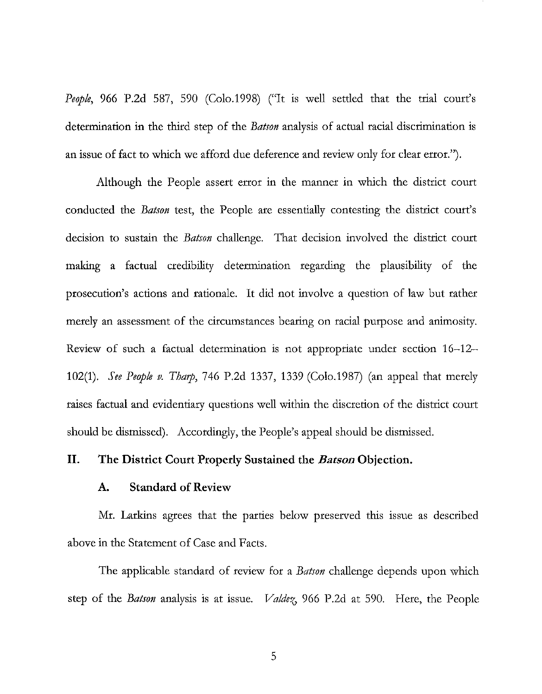*People*, 966 P.2d 587, 590 (Colo.1998) ("It is well settled that the trial court's determination in the third step of the *Batson* analysis of actual racial discrimination is an issue of fact to which we afford due deference and review only for clear error.").

Although the People assert error in the manner in which the district court conducted the *Batson* test, the People are essentially contesting the district court's decision to sustain the *Batson* challenge. That decision involved the district court making a factual credibility determination regarding the plausibility of the prosecution's actions and rationale. It did not involve a question of law but rather merely an assessment of the circumstances bearing on racial purpose and animosity. Review of such a factual determination is not appropriate under section 16-12- *102(1). See People v. Tharp,* 746 P.2d 1337, 1339 (Colo.1987) (an appeal that merely raises factual and evidentiary questions well within the discretion of the district court should be dismissed). Accordingly, the People's appeal should be dismissed.

#### **II.** The District Court Properly Sustained the *Batson* Objection.

#### A. Standard of Review

Mr. Larkins agrees that the parties below preserved this 1ssue as described above in the Statement of Case and Facts.

The applicable standard of review for a *Batson* challenge depends upon which step of the *Batson* analysis is at issue. *Valdez*, 966 P.2d at 590. Here, the People

5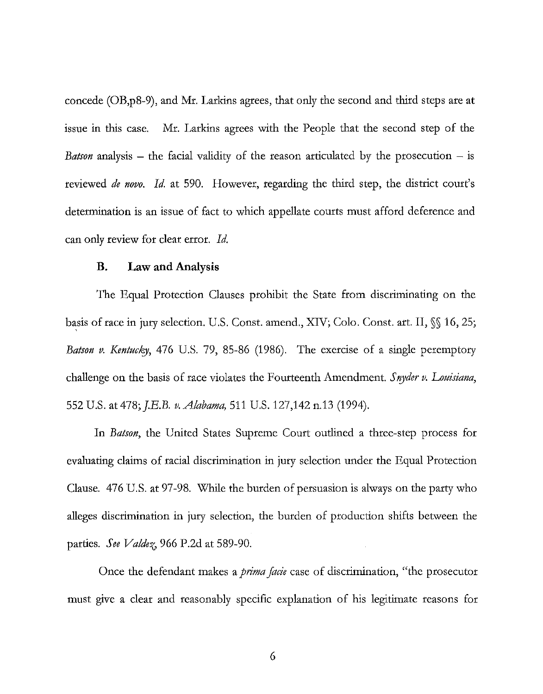concede (OB,p8-9), and Mr. Larkins agrees, that only the second and third steps are at issue in this case. Mr. Larkins agrees with the People that the second step of the *Batson* analysis – the facial validity of the reason articulated by the prosecution – is reviewed *dc novo. Id.* at 590. However, regarding the third step, the district court's determination is an issue of fact to which appellate courts must afford deference and can only review for clear error. *Id.* 

#### **B. Law** and Analysis

The Equal Protection Clauses prohibit the State from discriminating on the basis of race in jury selection. U.S. Const. amend., XIV; Colo. Const. art. II,  $\mathcal{S}$  16, 25; *Batson v. Kentucky,* 476 U.S. 79, 85-86 (1986). The exercise of a single peremptory challenge on the basis of race violates the Fourteenth Amendment. *Snyder v. Louisiana*, 552 U.S. at 478; *J.E.B. v. Alabama*, 511 U.S. 127,142 n.13 (1994).

In *Batson,* the United States Supreme Court outlined a three-step process for evaluating claims of racial discrimination in jury selection under the Equal Protection Clause. 476 U.S. at 97-98. While the burden of persuasion is always on the party who alleges discrimination in jury selection, the burden of production shifts between the parties. *Scc Valdci,* 966 P.2d at 589-90.

Once the defendant makes a *prima facic* case of discrimination, "the prosecutor must give a clear and reasonably specific explanation of his legitimate reasons for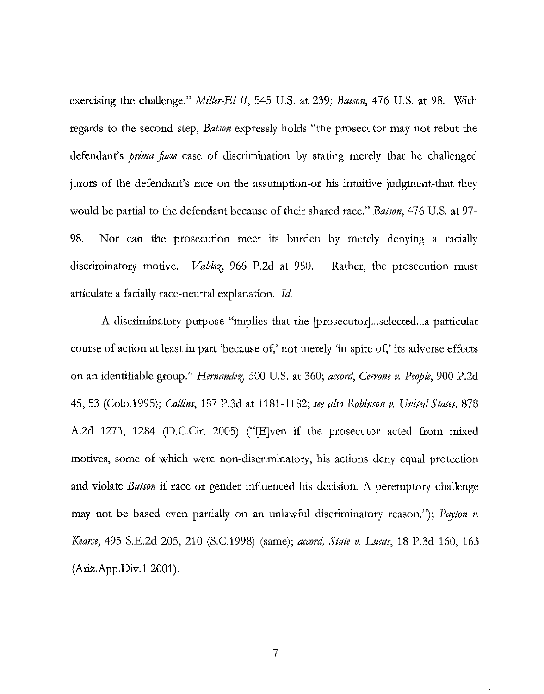exercising the challenge." *Miller-El II,* 545 U.S. at 239; *Batson,* 476 U.S. at 98. With regards to the second step, *Batson* expressly holds "the prosecutor may not rebut the defendant's *prima facie* case of discrimination by stating merely that he challenged jurors of the defendant's race on the assumption-or his intuitive judgment-that they would be partial to the defendant because of their shared race." *Batson,* 476 U.S. at 97- 98. Nor can the prosecution meet its burden by merely denying a racially discriminatory motive. *Valdez*, 966 P.2d at 950. articulate a facially race-neutral explanation. Id. Rather, the prosecution must

A discriminatory purpose "implies that the [prosecutor]...selected...a particular course of action at least in part 'because of,' not merely 'in spite of,' its adverse effects on an identifiable group." *Hernandez*, 500 U.S. at 360; *accord*, *Cerrone v. People*, 900 P.2d 45,53 (Colo.1995); *Collins,* 187 P.3d at 1181-1182; *see also Robinson v. United States, 878*  A.2d 1273, 1284 (D.C.Cir. 2005) ("E ven if the prosecutor acted from mixed motives, some of which were non-discriminatory, his actions deny equal protection and violate *Batson* if race or gender influenced his decision. A peremptory challenge may not be based even partially on an unlawful discriminatory reason."); *Payton v. Kearse*, 495 S.E.2d 205, 210 (S.C.1998) (same); *accord, State v. Lucas*, 18 P.3d 160, 163  $(Ariz App. Div.12001).$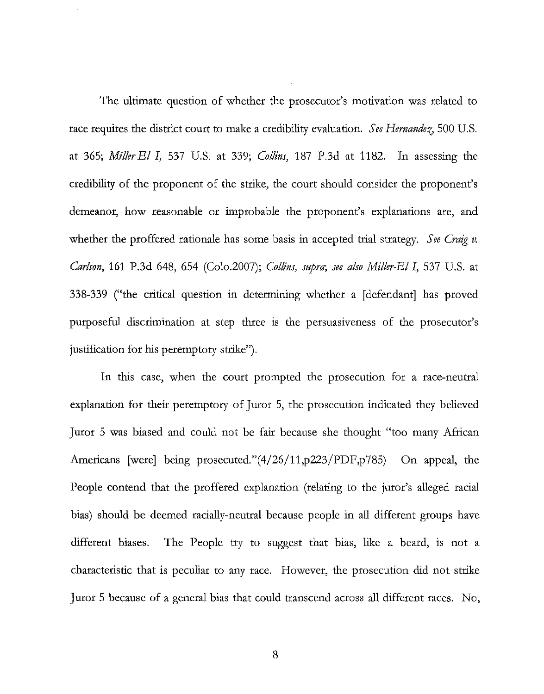The ultimate question of whether the prosecutor's motivation was related to race requires the district court to make a credibility evaluation. *See Hernandez*, 500 U.S. at 365; *Miller-El I,* 537 U.S. at 339; *Collins,* 187 P.3d at 1182. In assessing the credibility of the proponent of the strike, the court should consider the proponent's demeanor, how reasonable or improbable the proponent's explanations are, and whether the proffered rationale has some basis in accepted trial strategy. *See Craig v. Carlson,* 161 P.3d 648, 654 (Colo.2007); *Collins, supra; see also Miller-El I,* 537 U.S. at 338-339 ("the critical question in determining whether a [defendant] has proved purposeful discrimination at step three is the persuasiveness of the prosecutor's justification for his peremptory strike").

In this case, when the court prompted the prosecution for a race-neutral explanation for their peremptory of Juror 5, the prosecution indicated they believed Juror 5 was biased and could not be fair because she thought "too many African Americans [were] being prosecuted."(4/26/11,p223/PDF,p785) On appeal, the People contend that the proffered explanation (relating to the juror's alleged racial bias) should be deemed racially-neutral because people in all different groups have different biases. The People try to suggest that bias, like a beard, is not a characteristic that is peculiar to any race. However, the prosecution did not strike Juror 5 because of a general bias that could transcend across all different races. No,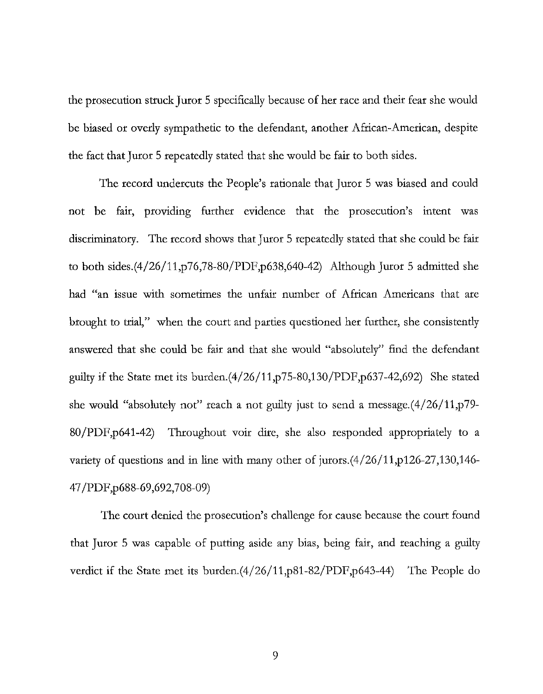the prosecution struck Juror 5 specifically because of her race and their fear she would be biased or overly sympathetic to the defendant, another African-American, despite the fact that Juror 5 repeatedly stated that she would be fair to both sides.

The record undercuts the People's rationale that Juror 5 was biased and could not be fair, providing further evidence that the prosecution's intent was discriminatory. The record shows that Juror 5 repeatedly stated that she could be fair to both sides.(4/26/11,p76,78-80/PDF,p638,640-42) Although Juror 5 admitted she had "an issue with sometimes the unfair number of African Americans that are brought to trial," when the court and parties questioned her further, she consistently answered that she could be fair and that she would "absolutely" find the defendant guilty if the State met its burden. $(4/26/11,p75-80,130/PDF,p637-42,692)$  She stated she would "absolutely not" reach a not guilty just to send a message. $(4/26/11,p79-$ 80/PDF,p641-42) Throughout voir dire, she also responded appropriately to a variety of questions and in line with many other of jurors.(4/26/11,p126-27,130,146- 47/PDF,p688-69,692,708-09)

The court denied the prosecution's challenge for cause because the court found that Juror 5 was capable of putting aside any bias, being fair, and reaching a guilty verdict if the State met its burden.(4/26/11,p81-82/PDF,p643-44) The People do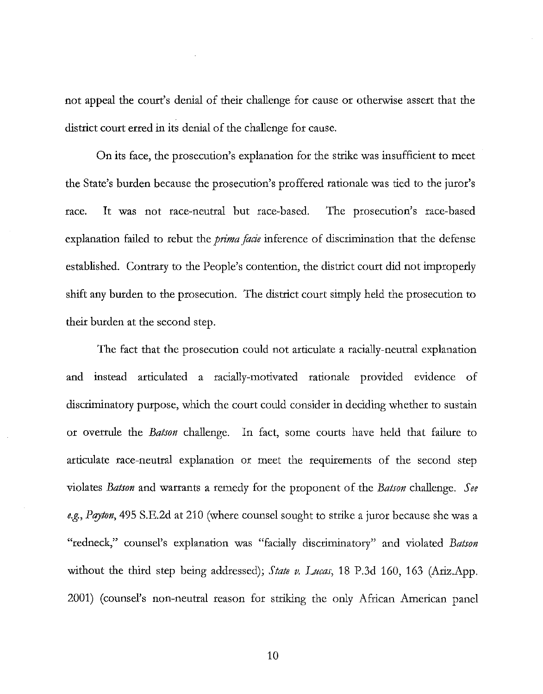not appeal the court's denial of their challenge for cause or otherwise assert that the district court erred in its denial of the challenge for cause.

On its face, the prosecution's explanation for the strike was insufficient to meet the State's burden because the prosecution's proffered rationale was tied to the juror's race. It was not race-neutral but race-based. The prosecution's race-based explanation failed to rebut the *prima facie* inference of discrimination that the defense established. Contrary to the People's contention, the district court did not improperly shift any burden to the prosecution. The district court simply held the prosecution to their burden at the second step.

The fact that the prosecution could not articulate a racially-neutral explanation and instead articulated a racially-motivated rationale provided evidence of discriminatory purpose, which the court could consider in deciding whether to sustain or overrule the *Batson* challenge. In fact, some courts have held that failure to articulate race-neutral explanation or meet the requirements of the second step violates *Batson* and warrants a remedy for the proponent of the *Batson* challenge. *See e.g., Pqyton,* 495 S.E.2d at 210 (where counsel sought to strike a juror because she was a "redneck," counsel's explanation was "facially discriminatory" and violated *Batson*  without the third step being addressed); *State v. Lucas,* 18 P.3d 160, 163 (Ariz.App. 2001) (counsel's non-neutral reason for striking the only African American panel

10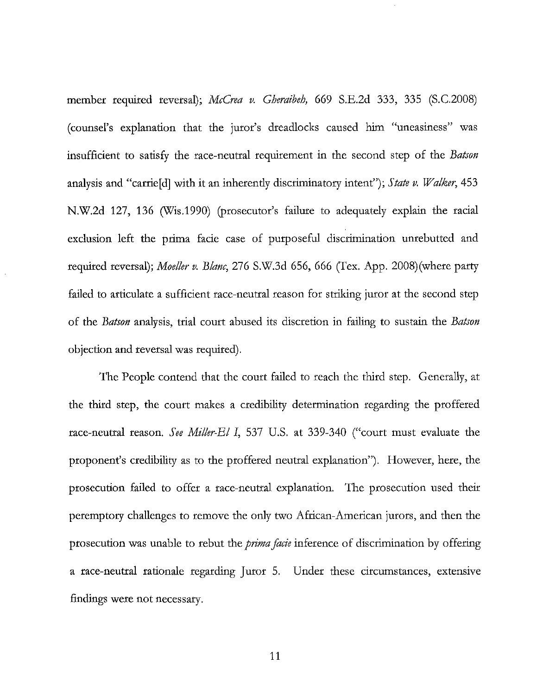member required reversal); *McCrea v. Gheraibeh,* 669 S.E.2d 333, 335 (S.C.200S) (counsel's explanation that the juror's dreadlocks caused him "uneasiness" was insufficient to satisfy the race-neutral requirement in the second step of the *Batson*  analysis and "carrie[d] with it an inherently discriminatory intent"); *State v. Walker,* 453 N.W.2d 127, 136 (Wis.1990) (prosecutor's failure to adequately explain the racial exclusion left the prima facie case of purposeful discrimination unrebutted and required reversal); *Moeller v. Blanc,* 276 S.W.3d 656, 666 (Tex. App. 200S)(where party failed to articulate a sufficient race-neutral reason for striking juror at the second step of the *Batson* analysis, trial court abused its discretion in failing to sustain the *Batson*  objection and reversal was required).

The People contend that the court failed to reach the third step. Generally, at the third step, the court makes a credibility determination regarding the proffered race-neutral reason. *See Miller-El I,* 537 U.S. at 339-340 ("court must evaluate the proponent's credibility as to the proffered neutral explanation"). However, here, the prosecution failed to offer a race-neutral explanation. The prosecution used their peremptory challenges to remove the only two African-American jurors, and then the prosecution was unable to rebut the *prima facie* inference of discrimination by offering a race-neutral rationale regarding Juror 5. Under these circumstances, extensive findings were not necessary.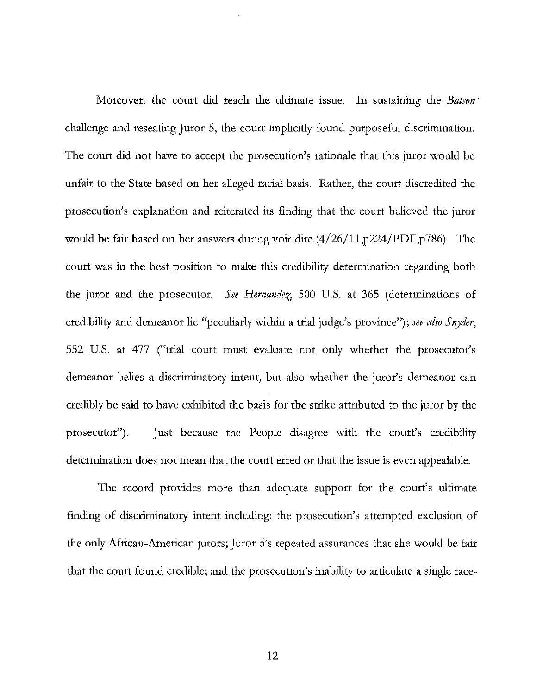Moreover, the court did reach the ultimate issue. In sustaining the *Batson*  challenge and reseating Juror 5, the court implicitly found purposeful discrimination. The court did not have to accept the prosecution's rationale that this juror would be unfair to the State based on her alleged racial basis. Rather, the court discredited the prosecution's explanation and reiterated its finding that the court believed the juror would be fair based on her answers during voir dire.(4/26/11, p224/PDF, p786) The court was in the best position to make this credibility determination regarding both the juror and the prosecutor. *See Hernandez*, 500 U.S. at 365 (determinations of credibility and demeanor lie "peculiarly within a trial judge's province"); *see also Snyder,*  552 U.S. at 477 ("trial court must evaluate not only whether the prosecutor's demeanor belies a discriminatory intent, but also whether the juror's demeanor can credibly be said to have exhibited the basis for the strike attributed to the juror by the prosecutor") . Just because the People disagree with the court's credibility determination does not mean that the court erred or that the issue is even appealable.

The record provides more than adequate support for the court's ultimate finding of discriminatory intent including: the prosecution's attempted exclusion of the only African-American jurors; Juror 5's repeated assurances that she would be fair that the court found credible; and the prosecution's inability to articulate a single race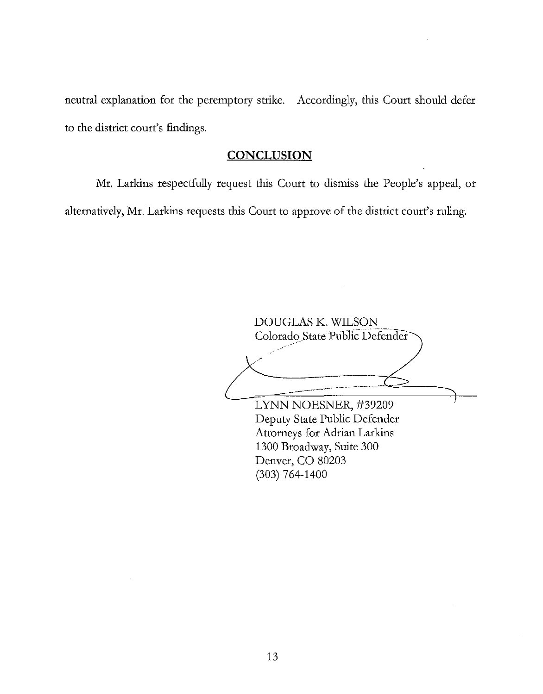neutral explanation for the peremptory strike. Accordingly, this Court should defer to the district court's findings.

### **CONCLUSION**

Mr. Larkins respectfully request this Court to dismiss the People's appeal, or alternatively, Mr. Larkins requests this Court to approve of the district court's ruling.

DOUGLAS K. WILSON Colorado State Public Defender LYNN NOESNER, #39209 Deputy State Public Defender Attorneys for Adrian Larkins 1300 Broadway, Suite 300 Denver, CO 80203 (303) 764-1400